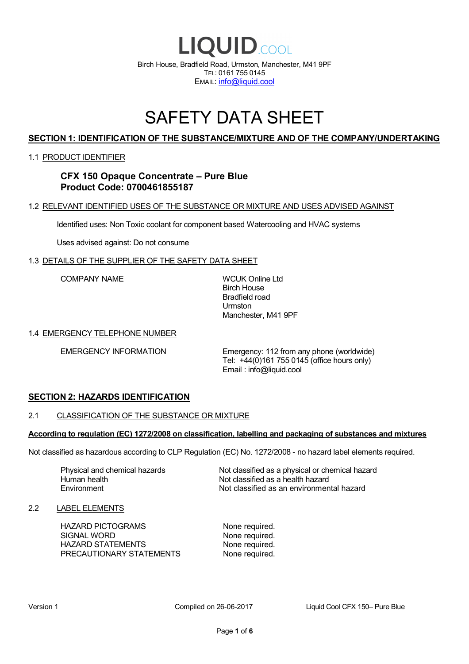

# SAFETY DATA SHEET

# **SECTION 1: IDENTIFICATION OF THE SUBSTANCE/MIXTURE AND OF THE COMPANY/UNDERTAKING**

### 1.1 PRODUCT IDENTIFIER

# **CFX 150 Opaque Concentrate – Pure Blue Product Code: 0700461855187**

## 1.2 RELEVANT IDENTIFIED USES OF THE SUBSTANCE OR MIXTURE AND USES ADVISED AGAINST

Identified uses: Non Toxic coolant for component based Watercooling and HVAC systems

Uses advised against: Do not consume

### 1.3 DETAILS OF THE SUPPLIER OF THE SAFETY DATA SHEET

COMPANY NAME WCUK Online Ltd

Birch House Bradfield road Urmston Manchester, M41 9PF

### 1.4 EMERGENCY TELEPHONE NUMBER

EMERGENCY INFORMATION Emergency: 112 from any phone (worldwide) Tel: +44(0)161 755 0145 (office hours only) Email : info@liquid.cool

# **SECTION 2: HAZARDS IDENTIFICATION**

### 2.1 CLASSIFICATION OF THE SUBSTANCE OR MIXTURE

### **According to regulation (EC) 1272/2008 on classification, labelling and packaging of substances and mixtures**

Not classified as hazardous according to CLP Regulation (EC) No. 1272/2008 - no hazard label elements required.

Human health **Environment** 

Physical and chemical hazards Not classified as a physical or chemical hazard Not classified as a health hazard Not classified as an environmental hazard

### 2.2 LABEL ELEMENTS

HAZARD PICTOGRAMS None required. SIGNAL WORD None required. HAZARD STATEMENTS None required. PRECAUTIONARY STATEMENTS None required.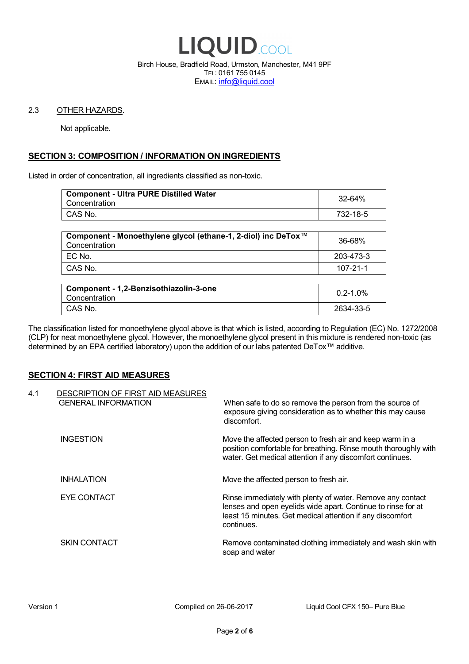

Birch House, Bradfield Road, Urmston, Manchester, M41 9PF TEL: 0161 755 0145 EMAIL: info@liquid.cool

### 2.3 OTHER HAZARDS.

Not applicable.

# **SECTION 3: COMPOSITION / INFORMATION ON INGREDIENTS**

Listed in order of concentration, all ingredients classified as non-toxic.

| <b>Component - Ultra PURE Distilled Water</b><br>Concentration | 32-64%   |
|----------------------------------------------------------------|----------|
| CAS No.                                                        | 732-18-5 |
|                                                                |          |

| Component - Monoethylene glycol (ethane-1, 2-diol) inc DeTox™<br>Concentration | 36-68%    |
|--------------------------------------------------------------------------------|-----------|
| ! EC No.                                                                       | 203-473-3 |
| I CAS No.                                                                      | 107-21-1  |

| Component - 1,2-Benzisothiazolin-3-one<br>Concentration | $0.2 - 1.0\%$ |
|---------------------------------------------------------|---------------|
| CAS No.                                                 | 2634-33-5     |

The classification listed for monoethylene glycol above is that which is listed, according to Regulation (EC) No. 1272/2008 (CLP) for neat monoethylene glycol. However, the monoethylene glycol present in this mixture is rendered non-toxic (as determined by an EPA certified laboratory) upon the addition of our labs patented DeTox™ additive.

### **SECTION 4: FIRST AID MEASURES**

| 4.1 | DESCRIPTION OF FIRST AID MEASURES<br><b>GENERAL INFORMATION</b> | When safe to do so remove the person from the source of<br>exposure giving consideration as to whether this may cause<br>discomfort.                                                                  |
|-----|-----------------------------------------------------------------|-------------------------------------------------------------------------------------------------------------------------------------------------------------------------------------------------------|
|     | <b>INGESTION</b>                                                | Move the affected person to fresh air and keep warm in a<br>position comfortable for breathing. Rinse mouth thoroughly with<br>water. Get medical attention if any discomfort continues.              |
|     | <b>INHALATION</b>                                               | Move the affected person to fresh air.                                                                                                                                                                |
|     | EYE CONTACT                                                     | Rinse immediately with plenty of water. Remove any contact<br>lenses and open eyelids wide apart. Continue to rinse for at<br>least 15 minutes. Get medical attention if any discomfort<br>continues. |
|     | <b>SKIN CONTACT</b>                                             | Remove contaminated clothing immediately and wash skin with<br>soap and water                                                                                                                         |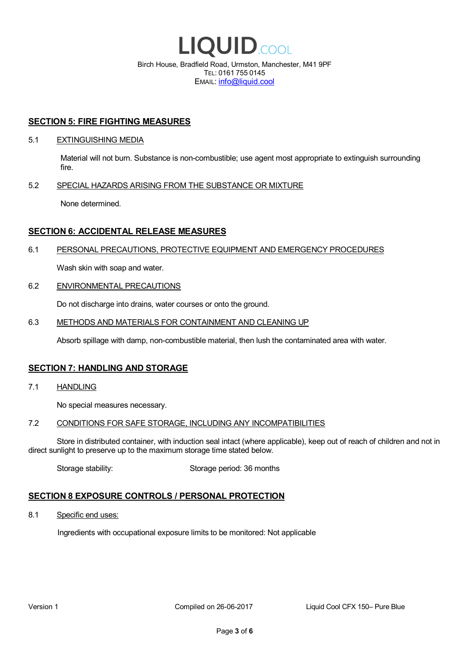

EMAIL: info@liquid.cool

### **SECTION 5: FIRE FIGHTING MEASURES**

### 5.1 EXTINGUISHING MEDIA

Material will not burn. Substance is non-combustible; use agent most appropriate to extinguish surrounding fire.

### 5.2 SPECIAL HAZARDS ARISING FROM THE SUBSTANCE OR MIXTURE

None determined.

## **SECTION 6: ACCIDENTAL RELEASE MEASURES**

### 6.1 PERSONAL PRECAUTIONS, PROTECTIVE EQUIPMENT AND EMERGENCY PROCEDURES

Wash skin with soap and water.

### 6.2 ENVIRONMENTAL PRECAUTIONS

Do not discharge into drains, water courses or onto the ground.

### 6.3 METHODS AND MATERIALS FOR CONTAINMENT AND CLEANING UP

Absorb spillage with damp, non-combustible material, then lush the contaminated area with water.

### **SECTION 7: HANDLING AND STORAGE**

7.1 HANDLING

No special measures necessary.

### 7.2 CONDITIONS FOR SAFE STORAGE, INCLUDING ANY INCOMPATIBILITIES

Store in distributed container, with induction seal intact (where applicable), keep out of reach of children and not in direct sunlight to preserve up to the maximum storage time stated below.

Storage stability: Storage period: 36 months

# **SECTION 8 EXPOSURE CONTROLS / PERSONAL PROTECTION**

8.1 Specific end uses:

Ingredients with occupational exposure limits to be monitored: Not applicable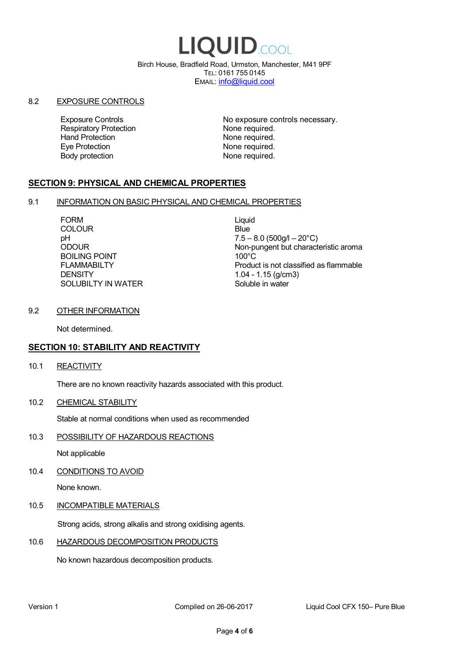# LIQUID.COOL

Birch House, Bradfield Road, Urmston, Manchester, M41 9PF TEL: 0161 755 0145 EMAIL: info@liquid.cool

### 8.2 EXPOSURE CONTROLS

Respiratory Protection **None required.**<br>
Hand Protection **None required.** Eye Protection **None required.** Body protection None required.

Exposure Controls **Exposure Controls** No exposure controls necessary. None required.

# **SECTION 9: PHYSICAL AND CHEMICAL PROPERTIES**

### 9.1 INFORMATION ON BASIC PHYSICAL AND CHEMICAL PROPERTIES

FORM Liquid COLOUR Blue BOILING POINT FLAMMABILTY **DENSITY** SOLUBILTY IN WATER

pH<br>
DDOUR
20°C)
2000UR
2000UR
2000UR
2000UR Non-pungent but characteristic aroma 100°C Product is not classified as flammable 1.04 - 1.15 (g/cm3) Soluble in water

### 9.2 OTHER INFORMATION

Not determined.

# **SECTION 10: STABILITY AND REACTIVITY**

10.1 REACTIVITY

There are no known reactivity hazards associated with this product.

10.2 CHEMICAL STABILITY

Stable at normal conditions when used as recommended

10.3 POSSIBILITY OF HAZARDOUS REACTIONS

Not applicable

10.4 CONDITIONS TO AVOID

None known.

### 10.5 INCOMPATIBLE MATERIALS

Strong acids, strong alkalis and strong oxidising agents.

### 10.6 HAZARDOUS DECOMPOSITION PRODUCTS

No known hazardous decomposition products.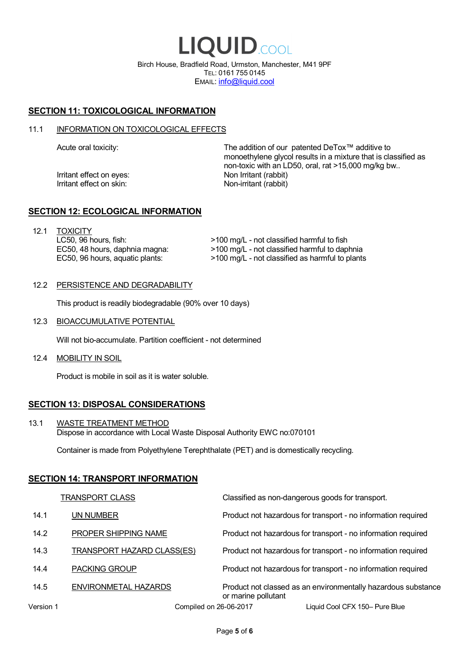LIQUID.COOL Birch House, Bradfield Road, Urmston, Manchester, M41 9PF TEL: 0161 755 0145 EMAIL: info@liquid.cool

# **SECTION 11: TOXICOLOGICAL INFORMATION**

### 11.1 INFORMATION ON TOXICOLOGICAL EFFECTS

Irritant effect on eves: Non Irritant (rabbit) Irritant effect on skin: Non-irritant (rabbit)

Acute oral toxicity: The addition of our patented DeTox™ additive to monoethylene glycol results in a mixture that is classified as non-toxic with an LD50, oral, rat >15,000 mg/kg bw..

### **SECTION 12: ECOLOGICAL INFORMATION**

12.1 TOXICITY LC50, 96 hours, fish: EC50, 48 hours, daphnia magna: EC50, 96 hours, aquatic plants:

>100 mg/L - not classified harmful to fish >100 mg/L - not classified harmful to daphnia >100 mg/L - not classified as harmful to plants

### 12.2 PERSISTENCE AND DEGRADABILITY

This product is readily biodegradable (90% over 10 days)

12.3 BIOACCUMULATIVE POTENTIAL

Will not bio-accumulate. Partition coefficient - not determined

12.4 MOBILITY IN SOIL

Product is mobile in soil as it is water soluble.

# **SECTION 13: DISPOSAL CONSIDERATIONS**

13.1 WASTE TREATMENT METHOD Dispose in accordance with Local Waste Disposal Authority EWC no:070101

Container is made from Polyethylene Terephthalate (PET) and is domestically recycling.

### **SECTION 14: TRANSPORT INFORMATION**

|           | <b>TRANSPORT CLASS</b>            | Classified as non-dangerous goods for transport.                                     |
|-----------|-----------------------------------|--------------------------------------------------------------------------------------|
| 14.1      | UN NUMBER                         | Product not hazardous for transport - no information required                        |
| 14.2      | PROPER SHIPPING NAME              | Product not hazardous for transport - no information required                        |
| 14.3      | <b>TRANSPORT HAZARD CLASS(ES)</b> | Product not hazardous for transport - no information required                        |
| 14.4      | <b>PACKING GROUP</b>              | Product not hazardous for transport - no information required                        |
| 14.5      | ENVIRONMETAL HAZARDS              | Product not classed as an environmentally hazardous substance<br>or marine pollutant |
| Version 1 | Compiled on 26-06-2017            | Liquid Cool CFX 150- Pure Blue                                                       |